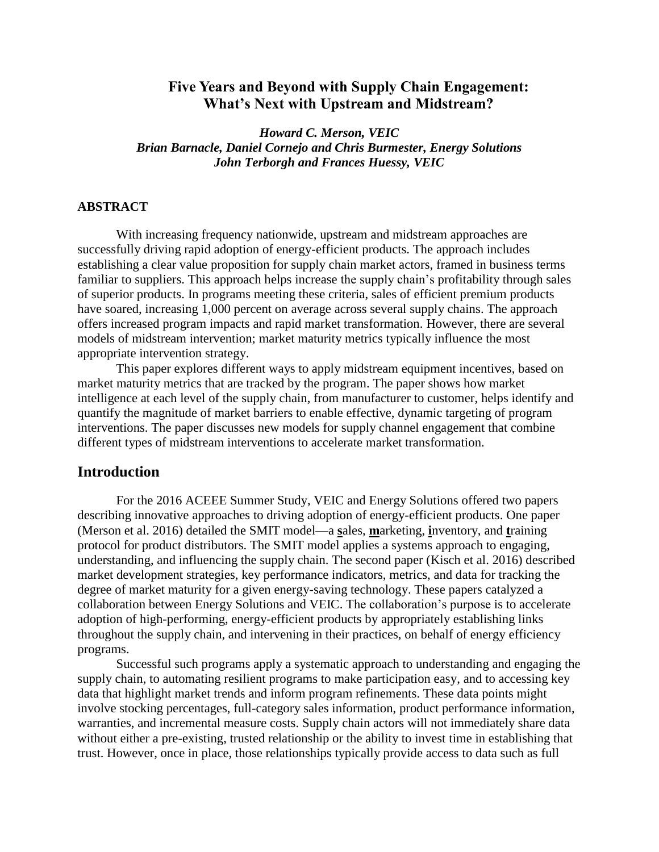# **Five Years and Beyond with Supply Chain Engagement: What's Next with Upstream and Midstream?**

*Howard C. Merson, VEIC Brian Barnacle, Daniel Cornejo and Chris Burmester, Energy Solutions John Terborgh and Frances Huessy, VEIC*

### **ABSTRACT**

With increasing frequency nationwide, upstream and midstream approaches are successfully driving rapid adoption of energy-efficient products. The approach includes establishing a clear value proposition for supply chain market actors, framed in business terms familiar to suppliers. This approach helps increase the supply chain's profitability through sales of superior products. In programs meeting these criteria, sales of efficient premium products have soared, increasing 1,000 percent on average across several supply chains. The approach offers increased program impacts and rapid market transformation. However, there are several models of midstream intervention; market maturity metrics typically influence the most appropriate intervention strategy.

This paper explores different ways to apply midstream equipment incentives, based on market maturity metrics that are tracked by the program. The paper shows how market intelligence at each level of the supply chain, from manufacturer to customer, helps identify and quantify the magnitude of market barriers to enable effective, dynamic targeting of program interventions. The paper discusses new models for supply channel engagement that combine different types of midstream interventions to accelerate market transformation.

## **Introduction**

For the 2016 ACEEE Summer Study, VEIC and Energy Solutions offered two papers describing innovative approaches to driving adoption of energy-efficient products. One paper (Merson et al. 2016) detailed the SMIT model—a **s**ales, **m**arketing, **i**nventory, and **t**raining protocol for product distributors. The SMIT model applies a systems approach to engaging, understanding, and influencing the supply chain. The second paper (Kisch et al. 2016) described market development strategies, key performance indicators, metrics, and data for tracking the degree of market maturity for a given energy-saving technology. These papers catalyzed a collaboration between Energy Solutions and VEIC. The collaboration's purpose is to accelerate adoption of high-performing, energy-efficient products by appropriately establishing links throughout the supply chain, and intervening in their practices, on behalf of energy efficiency programs.

Successful such programs apply a systematic approach to understanding and engaging the supply chain, to automating resilient programs to make participation easy, and to accessing key data that highlight market trends and inform program refinements. These data points might involve stocking percentages, full-category sales information, product performance information, warranties, and incremental measure costs. Supply chain actors will not immediately share data without either a pre-existing, trusted relationship or the ability to invest time in establishing that trust. However, once in place, those relationships typically provide access to data such as full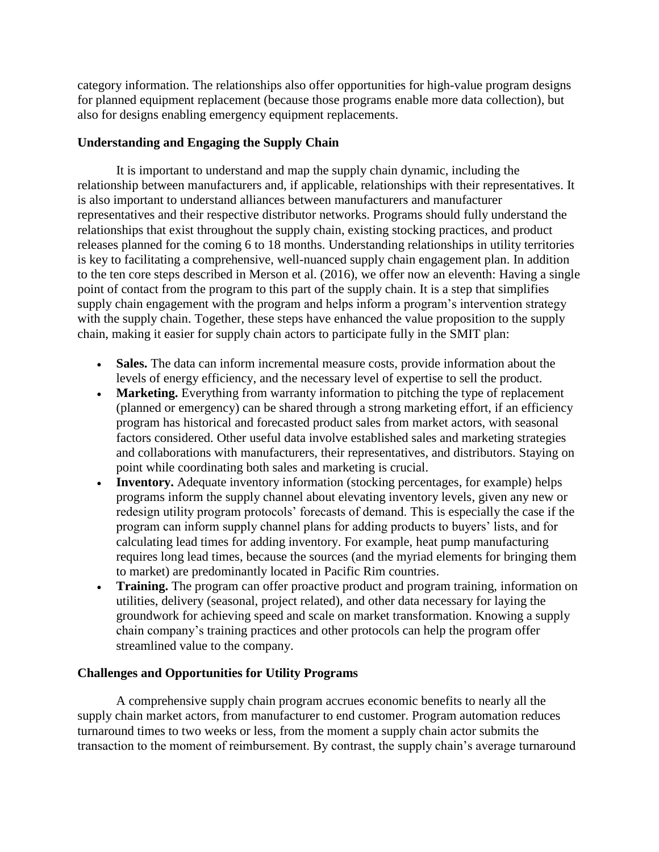category information. The relationships also offer opportunities for high-value program designs for planned equipment replacement (because those programs enable more data collection), but also for designs enabling emergency equipment replacements.

## **Understanding and Engaging the Supply Chain**

It is important to understand and map the supply chain dynamic, including the relationship between manufacturers and, if applicable, relationships with their representatives. It is also important to understand alliances between manufacturers and manufacturer representatives and their respective distributor networks. Programs should fully understand the relationships that exist throughout the supply chain, existing stocking practices, and product releases planned for the coming 6 to 18 months. Understanding relationships in utility territories is key to facilitating a comprehensive, well-nuanced supply chain engagement plan. In addition to the ten core steps described in Merson et al. (2016), we offer now an eleventh: Having a single point of contact from the program to this part of the supply chain. It is a step that simplifies supply chain engagement with the program and helps inform a program's intervention strategy with the supply chain. Together, these steps have enhanced the value proposition to the supply chain, making it easier for supply chain actors to participate fully in the SMIT plan:

- **Sales.** The data can inform incremental measure costs, provide information about the levels of energy efficiency, and the necessary level of expertise to sell the product.
- **Marketing.** Everything from warranty information to pitching the type of replacement (planned or emergency) can be shared through a strong marketing effort, if an efficiency program has historical and forecasted product sales from market actors, with seasonal factors considered. Other useful data involve established sales and marketing strategies and collaborations with manufacturers, their representatives, and distributors. Staying on point while coordinating both sales and marketing is crucial.
- **Inventory.** Adequate inventory information (stocking percentages, for example) helps programs inform the supply channel about elevating inventory levels, given any new or redesign utility program protocols' forecasts of demand. This is especially the case if the program can inform supply channel plans for adding products to buyers' lists, and for calculating lead times for adding inventory. For example, heat pump manufacturing requires long lead times, because the sources (and the myriad elements for bringing them to market) are predominantly located in Pacific Rim countries.
- **Training.** The program can offer proactive product and program training, information on utilities, delivery (seasonal, project related), and other data necessary for laying the groundwork for achieving speed and scale on market transformation. Knowing a supply chain company's training practices and other protocols can help the program offer streamlined value to the company.

## **Challenges and Opportunities for Utility Programs**

A comprehensive supply chain program accrues economic benefits to nearly all the supply chain market actors, from manufacturer to end customer. Program automation reduces turnaround times to two weeks or less, from the moment a supply chain actor submits the transaction to the moment of reimbursement. By contrast, the supply chain's average turnaround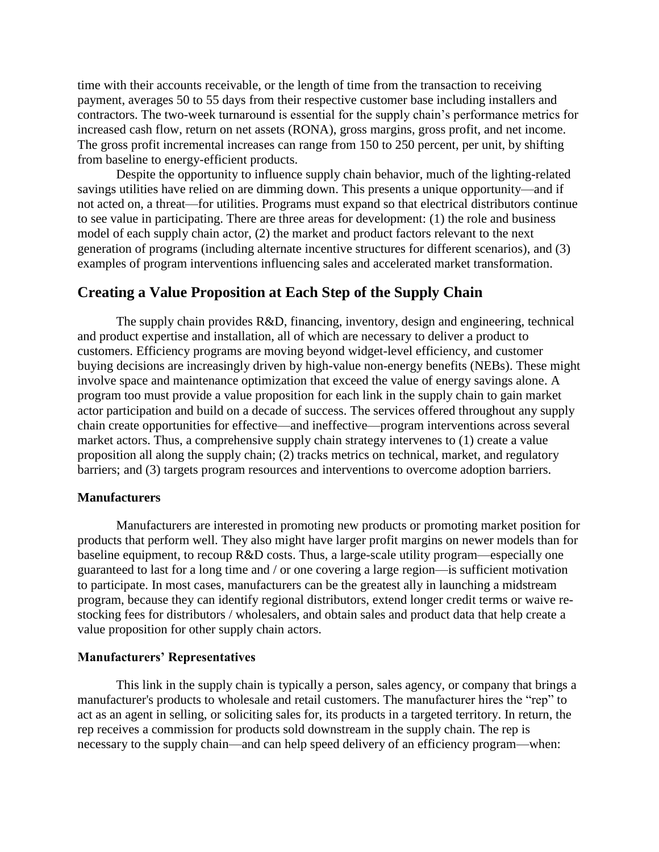time with their accounts receivable, or the length of time from the transaction to receiving payment, averages 50 to 55 days from their respective customer base including installers and contractors. The two-week turnaround is essential for the supply chain's performance metrics for increased cash flow, return on net assets (RONA), gross margins, gross profit, and net income. The gross profit incremental increases can range from 150 to 250 percent, per unit, by shifting from baseline to energy-efficient products.

Despite the opportunity to influence supply chain behavior, much of the lighting-related savings utilities have relied on are dimming down. This presents a unique opportunity—and if not acted on, a threat—for utilities. Programs must expand so that electrical distributors continue to see value in participating. There are three areas for development: (1) the role and business model of each supply chain actor, (2) the market and product factors relevant to the next generation of programs (including alternate incentive structures for different scenarios), and (3) examples of program interventions influencing sales and accelerated market transformation.

## **Creating a Value Proposition at Each Step of the Supply Chain**

The supply chain provides R&D, financing, inventory, design and engineering, technical and product expertise and installation, all of which are necessary to deliver a product to customers. Efficiency programs are moving beyond widget-level efficiency, and customer buying decisions are increasingly driven by high-value non-energy benefits (NEBs). These might involve space and maintenance optimization that exceed the value of energy savings alone. A program too must provide a value proposition for each link in the supply chain to gain market actor participation and build on a decade of success. The services offered throughout any supply chain create opportunities for effective—and ineffective—program interventions across several market actors. Thus, a comprehensive supply chain strategy intervenes to (1) create a value proposition all along the supply chain; (2) tracks metrics on technical, market, and regulatory barriers; and (3) targets program resources and interventions to overcome adoption barriers.

#### **Manufacturers**

Manufacturers are interested in promoting new products or promoting market position for products that perform well. They also might have larger profit margins on newer models than for baseline equipment, to recoup R&D costs. Thus, a large-scale utility program—especially one guaranteed to last for a long time and / or one covering a large region—is sufficient motivation to participate. In most cases, manufacturers can be the greatest ally in launching a midstream program, because they can identify regional distributors, extend longer credit terms or waive restocking fees for distributors / wholesalers, and obtain sales and product data that help create a value proposition for other supply chain actors.

#### **Manufacturers' Representatives**

This link in the supply chain is typically a person, sales agency, or company that brings a manufacturer's products to wholesale and retail customers. The manufacturer hires the "rep" to act as an agent in selling, or soliciting sales for, its products in a targeted territory. In return, the rep receives a commission for products sold downstream in the supply chain. The rep is necessary to the supply chain—and can help speed delivery of an efficiency program—when: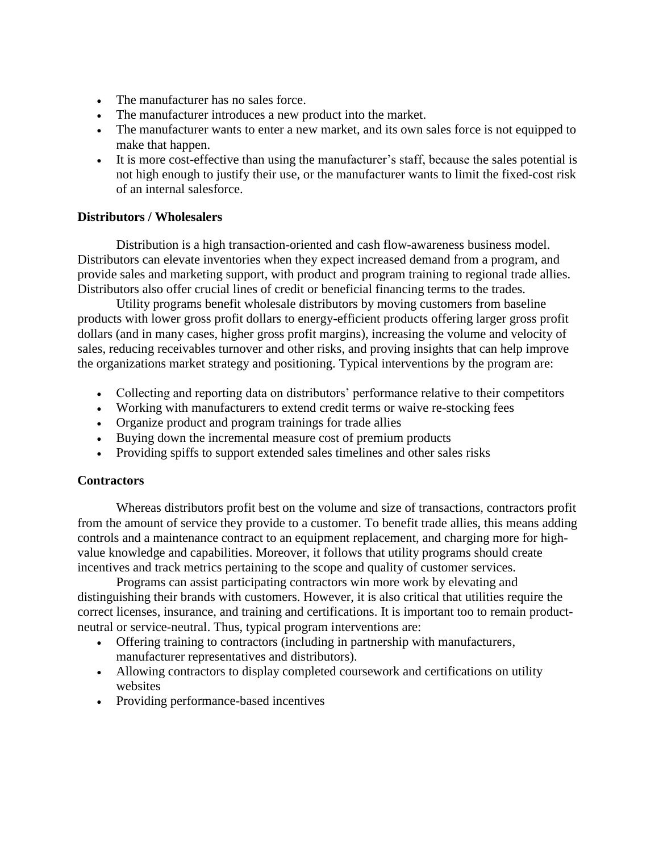- The manufacturer has no sales force.
- The manufacturer introduces a new product into the market.
- The manufacturer wants to enter a new market, and its own sales force is not equipped to make that happen.
- It is more cost-effective than using the manufacturer's staff, because the sales potential is not high enough to justify their use, or the manufacturer wants to limit the fixed-cost risk of an internal salesforce.

## **Distributors / Wholesalers**

Distribution is a high transaction-oriented and cash flow-awareness business model. Distributors can elevate inventories when they expect increased demand from a program, and provide sales and marketing support, with product and program training to regional trade allies. Distributors also offer crucial lines of credit or beneficial financing terms to the trades.

Utility programs benefit wholesale distributors by moving customers from baseline products with lower gross profit dollars to energy-efficient products offering larger gross profit dollars (and in many cases, higher gross profit margins), increasing the volume and velocity of sales, reducing receivables turnover and other risks, and proving insights that can help improve the organizations market strategy and positioning. Typical interventions by the program are:

- Collecting and reporting data on distributors' performance relative to their competitors
- Working with manufacturers to extend credit terms or waive re-stocking fees
- Organize product and program trainings for trade allies
- Buying down the incremental measure cost of premium products
- Providing spiffs to support extended sales timelines and other sales risks

### **Contractors**

Whereas distributors profit best on the volume and size of transactions, contractors profit from the amount of service they provide to a customer. To benefit trade allies, this means adding controls and a maintenance contract to an equipment replacement, and charging more for highvalue knowledge and capabilities. Moreover, it follows that utility programs should create incentives and track metrics pertaining to the scope and quality of customer services.

Programs can assist participating contractors win more work by elevating and distinguishing their brands with customers. However, it is also critical that utilities require the correct licenses, insurance, and training and certifications. It is important too to remain productneutral or service-neutral. Thus, typical program interventions are:

- Offering training to contractors (including in partnership with manufacturers, manufacturer representatives and distributors).
- Allowing contractors to display completed coursework and certifications on utility websites
- Providing performance-based incentives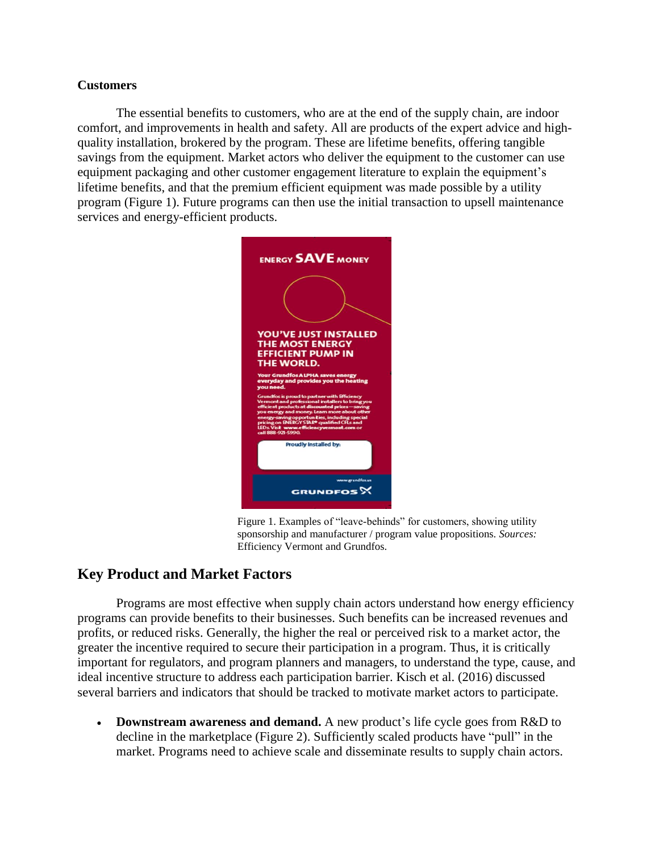### **Customers**

The essential benefits to customers, who are at the end of the supply chain, are indoor comfort, and improvements in health and safety. All are products of the expert advice and highquality installation, brokered by the program. These are lifetime benefits, offering tangible savings from the equipment. Market actors who deliver the equipment to the customer can use equipment packaging and other customer engagement literature to explain the equipment's lifetime benefits, and that the premium efficient equipment was made possible by a utility program (Figure 1). Future programs can then use the initial transaction to upsell maintenance services and energy-efficient products.



Figure 1. Examples of "leave-behinds" for customers, showing utility sponsorship and manufacturer / program value propositions. *Sources:*  Efficiency Vermont and Grundfos.

# **Key Product and Market Factors**

Programs are most effective when supply chain actors understand how energy efficiency programs can provide benefits to their businesses. Such benefits can be increased revenues and profits, or reduced risks. Generally, the higher the real or perceived risk to a market actor, the greater the incentive required to secure their participation in a program. Thus, it is critically important for regulators, and program planners and managers, to understand the type, cause, and ideal incentive structure to address each participation barrier. Kisch et al. (2016) discussed several barriers and indicators that should be tracked to motivate market actors to participate.

• **Downstream awareness and demand.** A new product's life cycle goes from R&D to decline in the marketplace (Figure 2). Sufficiently scaled products have "pull" in the market. Programs need to achieve scale and disseminate results to supply chain actors.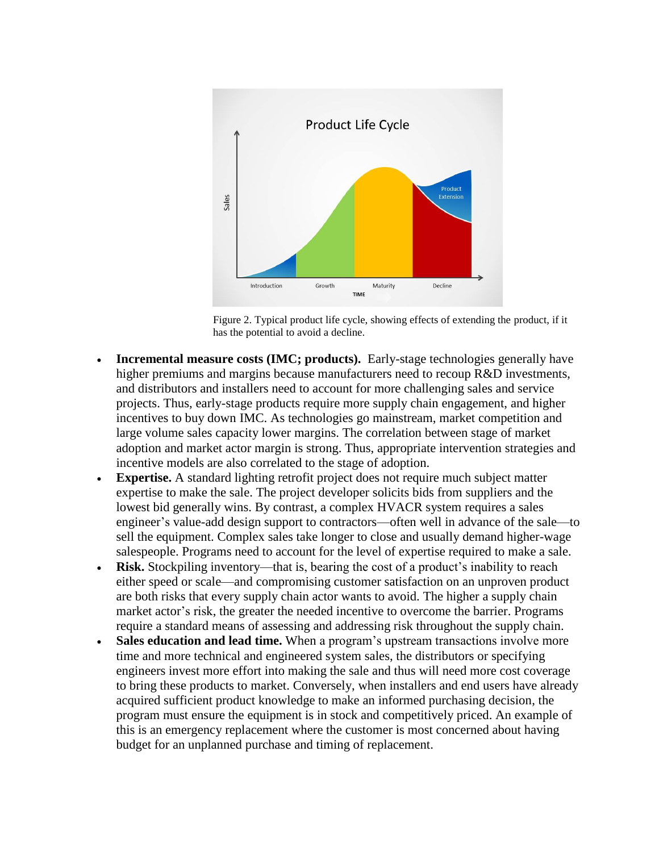

Figure 2. Typical product life cycle, showing effects of extending the product, if it has the potential to avoid a decline.

- **Incremental measure costs (IMC; products).** Early-stage technologies generally have higher premiums and margins because manufacturers need to recoup R&D investments, and distributors and installers need to account for more challenging sales and service projects. Thus, early-stage products require more supply chain engagement, and higher incentives to buy down IMC. As technologies go mainstream, market competition and large volume sales capacity lower margins. The correlation between stage of market adoption and market actor margin is strong. Thus, appropriate intervention strategies and incentive models are also correlated to the stage of adoption.
- **Expertise.** A standard lighting retrofit project does not require much subject matter expertise to make the sale. The project developer solicits bids from suppliers and the lowest bid generally wins. By contrast, a complex HVACR system requires a sales engineer's value-add design support to contractors—often well in advance of the sale—to sell the equipment. Complex sales take longer to close and usually demand higher-wage salespeople. Programs need to account for the level of expertise required to make a sale.
- **Risk.** Stockpiling inventory—that is, bearing the cost of a product's inability to reach either speed or scale—and compromising customer satisfaction on an unproven product are both risks that every supply chain actor wants to avoid. The higher a supply chain market actor's risk, the greater the needed incentive to overcome the barrier. Programs require a standard means of assessing and addressing risk throughout the supply chain.
- Sales education and lead time. When a program's upstream transactions involve more time and more technical and engineered system sales, the distributors or specifying engineers invest more effort into making the sale and thus will need more cost coverage to bring these products to market. Conversely, when installers and end users have already acquired sufficient product knowledge to make an informed purchasing decision, the program must ensure the equipment is in stock and competitively priced. An example of this is an emergency replacement where the customer is most concerned about having budget for an unplanned purchase and timing of replacement.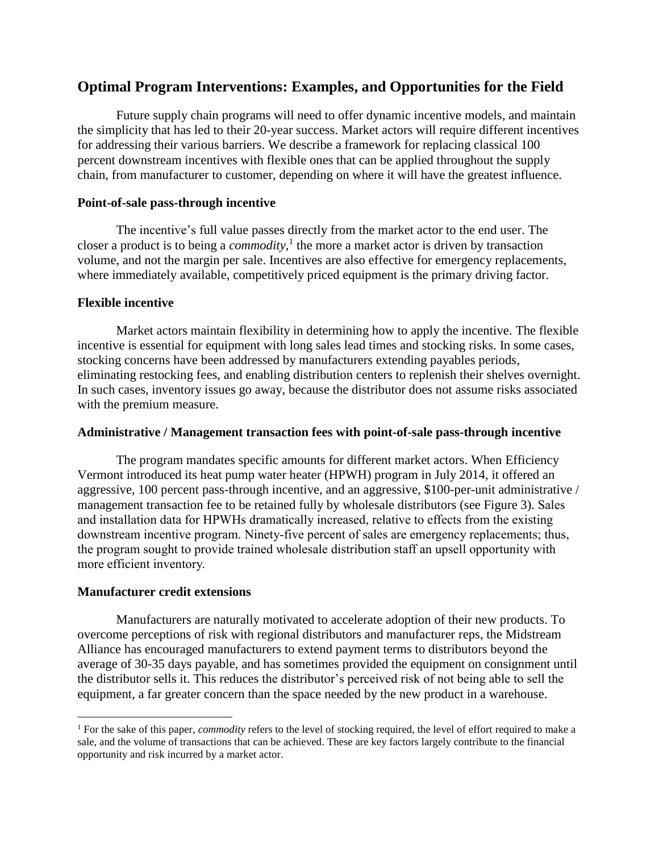# **Optimal Program Interventions: Examples, and Opportunities for the Field**

Future supply chain programs will need to offer dynamic incentive models, and maintain the simplicity that has led to their 20-year success. Market actors will require different incentives for addressing their various barriers. We describe a framework for replacing classical 100 percent downstream incentives with flexible ones that can be applied throughout the supply chain, from manufacturer to customer, depending on where it will have the greatest influence.

### **Point-of-sale pass-through incentive**

The incentive's full value passes directly from the market actor to the end user. The closer a product is to being a *commodity,* 1 the more a market actor is driven by transaction volume, and not the margin per sale. Incentives are also effective for emergency replacements, where immediately available, competitively priced equipment is the primary driving factor.

### **Flexible incentive**

Market actors maintain flexibility in determining how to apply the incentive. The flexible incentive is essential for equipment with long sales lead times and stocking risks. In some cases, stocking concerns have been addressed by manufacturers extending payables periods, eliminating restocking fees, and enabling distribution centers to replenish their shelves overnight. In such cases, inventory issues go away, because the distributor does not assume risks associated with the premium measure.

#### **Administrative / Management transaction fees with point-of-sale pass-through incentive**

The program mandates specific amounts for different market actors. When Efficiency Vermont introduced its heat pump water heater (HPWH) program in July 2014, it offered an aggressive, 100 percent pass-through incentive, and an aggressive, \$100-per-unit administrative / management transaction fee to be retained fully by wholesale distributors (see Figure 3). Sales and installation data for HPWHs dramatically increased, relative to effects from the existing downstream incentive program. Ninety-five percent of sales are emergency replacements; thus, the program sought to provide trained wholesale distribution staff an upsell opportunity with more efficient inventory.

### **Manufacturer credit extensions**

 $\overline{a}$ 

Manufacturers are naturally motivated to accelerate adoption of their new products. To overcome perceptions of risk with regional distributors and manufacturer reps, the Midstream Alliance has encouraged manufacturers to extend payment terms to distributors beyond the average of 30-35 days payable, and has sometimes provided the equipment on consignment until the distributor sells it. This reduces the distributor's perceived risk of not being able to sell the equipment, a far greater concern than the space needed by the new product in a warehouse.

<sup>1</sup> For the sake of this paper, *commodity* refers to the level of stocking required, the level of effort required to make a sale, and the volume of transactions that can be achieved. These are key factors largely contribute to the financial opportunity and risk incurred by a market actor.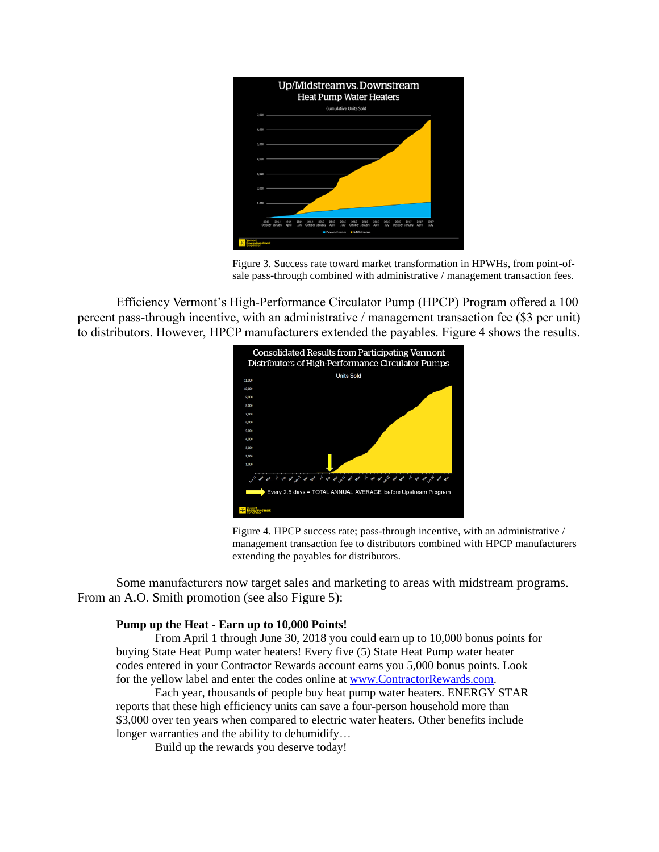

Figure 3. Success rate toward market transformation in HPWHs, from point-ofsale pass-through combined with administrative / management transaction fees.

Efficiency Vermont's High-Performance Circulator Pump (HPCP) Program offered a 100 percent pass-through incentive, with an administrative / management transaction fee (\$3 per unit) to distributors. However, HPCP manufacturers extended the payables. Figure 4 shows the results.



Figure 4. HPCP success rate; pass-through incentive, with an administrative / management transaction fee to distributors combined with HPCP manufacturers extending the payables for distributors.

Some manufacturers now target sales and marketing to areas with midstream programs. From an A.O. Smith promotion (see also Figure 5):

#### **Pump up the Heat - Earn up to 10,000 Points!**

From April 1 through June 30, 2018 you could earn up to 10,000 bonus points for buying State Heat Pump water heaters! Every five (5) State Heat Pump water heater codes entered in your Contractor Rewards account earns you 5,000 bonus points. Look for the yellow label and enter the codes online at [www.ContractorRewards.com.](https://urldefense.proofpoint.com/v2/url?u=http-3A__www.contractorrewards.com_&d=DwMF-g&c=IaXKzPzLOvtE1b6FJBWbw2EjBgJ76D4Vv5FmxREy6Ro&r=DLmUbW5FcrJQqznsMLJ5og&m=6b3E4ig6ioV54tZMy_7T9f6goBFJRuCFmQmqJcLd2rg&s=i0YyyYMxnms_t2rFBxTuvmZzBTXbrgQ8LXOdnBq6htg&e=)

Each year, thousands of people buy heat pump water heaters. ENERGY STAR reports that these high efficiency units can save a four-person household more than \$3,000 over ten years when compared to electric water heaters. Other benefits include longer warranties and the ability to dehumidify…

Build up the rewards you deserve today!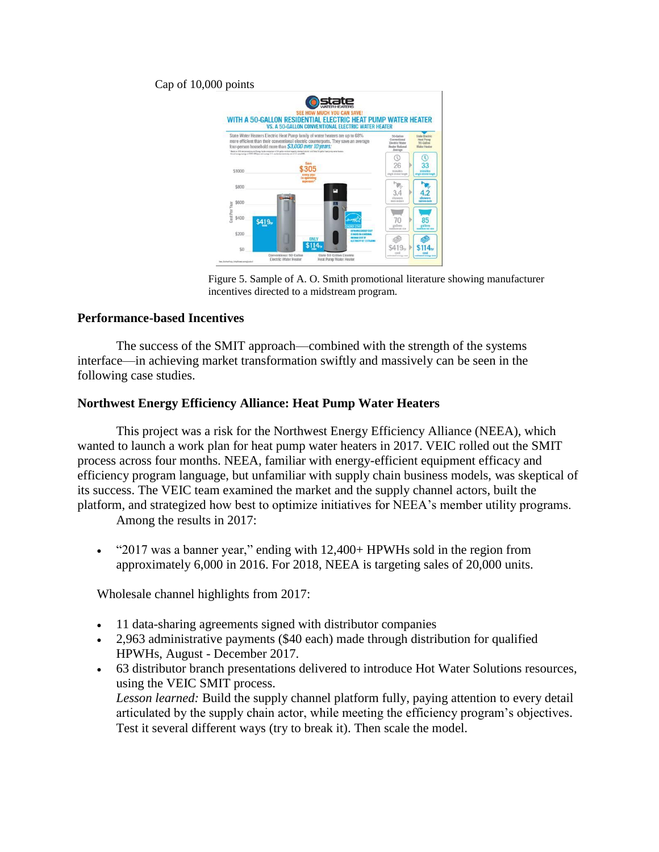#### Cap of 10,000 points



Figure 5. Sample of A. O. Smith promotional literature showing manufacturer incentives directed to a midstream program.

#### **Performance-based Incentives**

The success of the SMIT approach—combined with the strength of the systems interface—in achieving market transformation swiftly and massively can be seen in the following case studies.

#### **Northwest Energy Efficiency Alliance: Heat Pump Water Heaters**

This project was a risk for the Northwest Energy Efficiency Alliance (NEEA), which wanted to launch a work plan for heat pump water heaters in 2017. VEIC rolled out the SMIT process across four months. NEEA, familiar with energy-efficient equipment efficacy and efficiency program language, but unfamiliar with supply chain business models, was skeptical of its success. The VEIC team examined the market and the supply channel actors, built the platform, and strategized how best to optimize initiatives for NEEA's member utility programs.

Among the results in 2017:

• "2017 was a banner year," ending with 12,400+ HPWHs sold in the region from approximately 6,000 in 2016. For 2018, NEEA is targeting sales of 20,000 units.

Wholesale channel highlights from 2017:

- 11 data-sharing agreements signed with distributor companies
- 2,963 administrative payments (\$40 each) made through distribution for qualified HPWHs, August - December 2017.
- 63 distributor branch presentations delivered to introduce Hot Water Solutions resources, using the VEIC SMIT process.

*Lesson learned:* Build the supply channel platform fully, paying attention to every detail articulated by the supply chain actor, while meeting the efficiency program's objectives. Test it several different ways (try to break it). Then scale the model.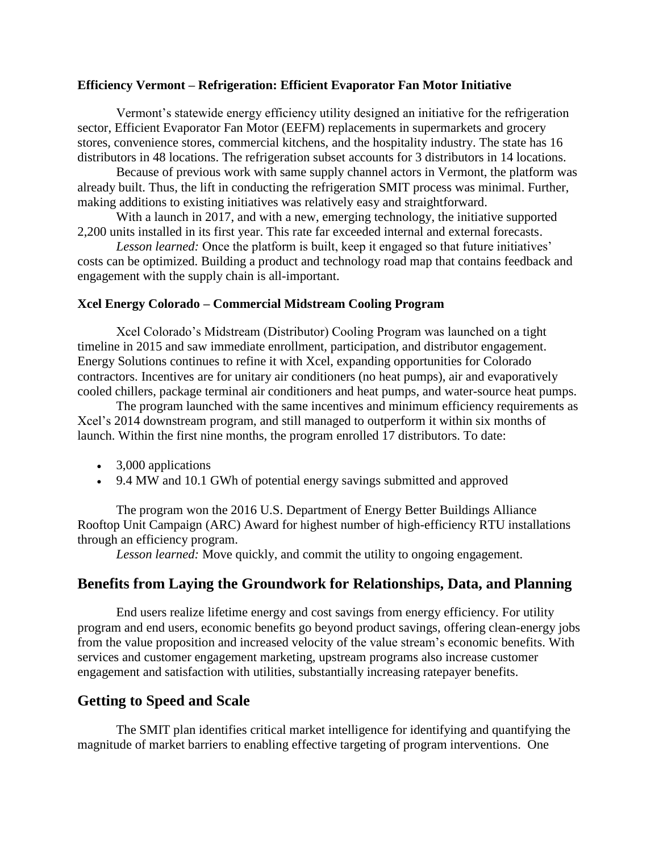#### **Efficiency Vermont – Refrigeration: Efficient Evaporator Fan Motor Initiative**

Vermont's statewide energy efficiency utility designed an initiative for the refrigeration sector, Efficient Evaporator Fan Motor (EEFM) replacements in supermarkets and grocery stores, convenience stores, commercial kitchens, and the hospitality industry. The state has 16 distributors in 48 locations. The refrigeration subset accounts for 3 distributors in 14 locations.

Because of previous work with same supply channel actors in Vermont, the platform was already built. Thus, the lift in conducting the refrigeration SMIT process was minimal. Further, making additions to existing initiatives was relatively easy and straightforward.

With a launch in 2017, and with a new, emerging technology, the initiative supported 2,200 units installed in its first year. This rate far exceeded internal and external forecasts.

*Lesson learned:* Once the platform is built, keep it engaged so that future initiatives' costs can be optimized. Building a product and technology road map that contains feedback and engagement with the supply chain is all-important.

#### **Xcel Energy Colorado – Commercial Midstream Cooling Program**

Xcel Colorado's Midstream (Distributor) Cooling Program was launched on a tight timeline in 2015 and saw immediate enrollment, participation, and distributor engagement. Energy Solutions continues to refine it with Xcel, expanding opportunities for Colorado contractors. Incentives are for unitary air conditioners (no heat pumps), air and evaporatively cooled chillers, package terminal air conditioners and heat pumps, and water-source heat pumps.

The program launched with the same incentives and minimum efficiency requirements as Xcel's 2014 downstream program, and still managed to outperform it within six months of launch. Within the first nine months, the program enrolled 17 distributors. To date:

- 3,000 applications
- 9.4 MW and 10.1 GWh of potential energy savings submitted and approved

The program won the 2016 U.S. Department of Energy Better Buildings Alliance Rooftop Unit Campaign (ARC) Award for highest number of high-efficiency RTU installations through an efficiency program.

*Lesson learned:* Move quickly, and commit the utility to ongoing engagement.

# **Benefits from Laying the Groundwork for Relationships, Data, and Planning**

End users realize lifetime energy and cost savings from energy efficiency. For utility program and end users, economic benefits go beyond product savings, offering clean-energy jobs from the value proposition and increased velocity of the value stream's economic benefits. With services and customer engagement marketing, upstream programs also increase customer engagement and satisfaction with utilities, substantially increasing ratepayer benefits.

# **Getting to Speed and Scale**

The SMIT plan identifies critical market intelligence for identifying and quantifying the magnitude of market barriers to enabling effective targeting of program interventions. One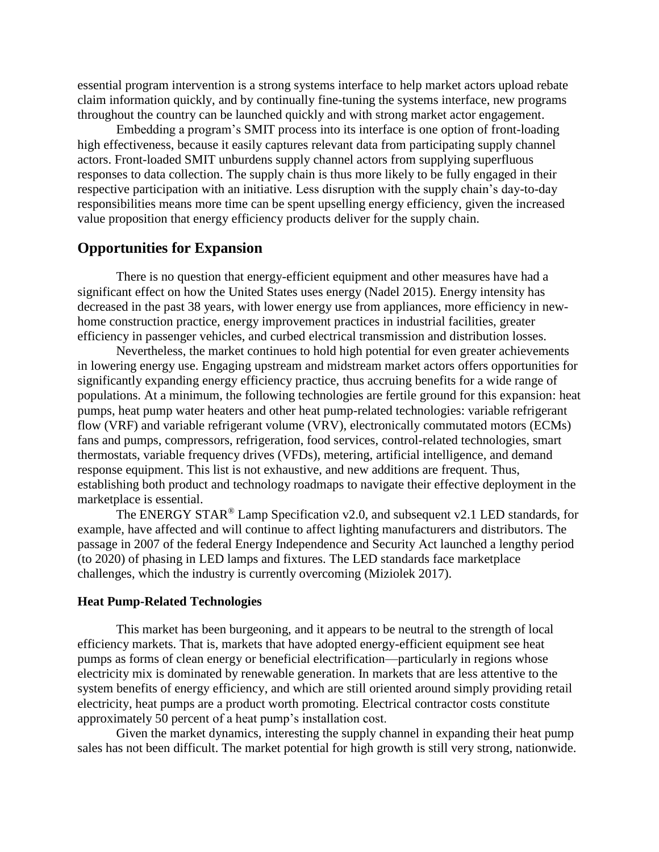essential program intervention is a strong systems interface to help market actors upload rebate claim information quickly, and by continually fine-tuning the systems interface, new programs throughout the country can be launched quickly and with strong market actor engagement.

Embedding a program's SMIT process into its interface is one option of front-loading high effectiveness, because it easily captures relevant data from participating supply channel actors. Front-loaded SMIT unburdens supply channel actors from supplying superfluous responses to data collection. The supply chain is thus more likely to be fully engaged in their respective participation with an initiative. Less disruption with the supply chain's day-to-day responsibilities means more time can be spent upselling energy efficiency, given the increased value proposition that energy efficiency products deliver for the supply chain.

## **Opportunities for Expansion**

There is no question that energy-efficient equipment and other measures have had a significant effect on how the United States uses energy (Nadel 2015). Energy intensity has decreased in the past 38 years, with lower energy use from appliances, more efficiency in newhome construction practice, energy improvement practices in industrial facilities, greater efficiency in passenger vehicles, and curbed electrical transmission and distribution losses.

Nevertheless, the market continues to hold high potential for even greater achievements in lowering energy use. Engaging upstream and midstream market actors offers opportunities for significantly expanding energy efficiency practice, thus accruing benefits for a wide range of populations. At a minimum, the following technologies are fertile ground for this expansion: heat pumps, heat pump water heaters and other heat pump-related technologies: variable refrigerant flow (VRF) and variable refrigerant volume (VRV), electronically commutated motors (ECMs) fans and pumps, compressors, refrigeration, food services, control-related technologies, smart thermostats, variable frequency drives (VFDs), metering, artificial intelligence, and demand response equipment. This list is not exhaustive, and new additions are frequent. Thus, establishing both product and technology roadmaps to navigate their effective deployment in the marketplace is essential.

The ENERGY STAR<sup>®</sup> Lamp Specification v2.0, and subsequent v2.1 LED standards, for example, have affected and will continue to affect lighting manufacturers and distributors. The passage in 2007 of the federal Energy Independence and Security Act launched a lengthy period (to 2020) of phasing in LED lamps and fixtures. The LED standards face marketplace challenges, which the industry is currently overcoming (Miziolek 2017).

### **Heat Pump-Related Technologies**

This market has been burgeoning, and it appears to be neutral to the strength of local efficiency markets. That is, markets that have adopted energy-efficient equipment see heat pumps as forms of clean energy or beneficial electrification—particularly in regions whose electricity mix is dominated by renewable generation. In markets that are less attentive to the system benefits of energy efficiency, and which are still oriented around simply providing retail electricity, heat pumps are a product worth promoting. Electrical contractor costs constitute approximately 50 percent of a heat pump's installation cost.

Given the market dynamics, interesting the supply channel in expanding their heat pump sales has not been difficult. The market potential for high growth is still very strong, nationwide.